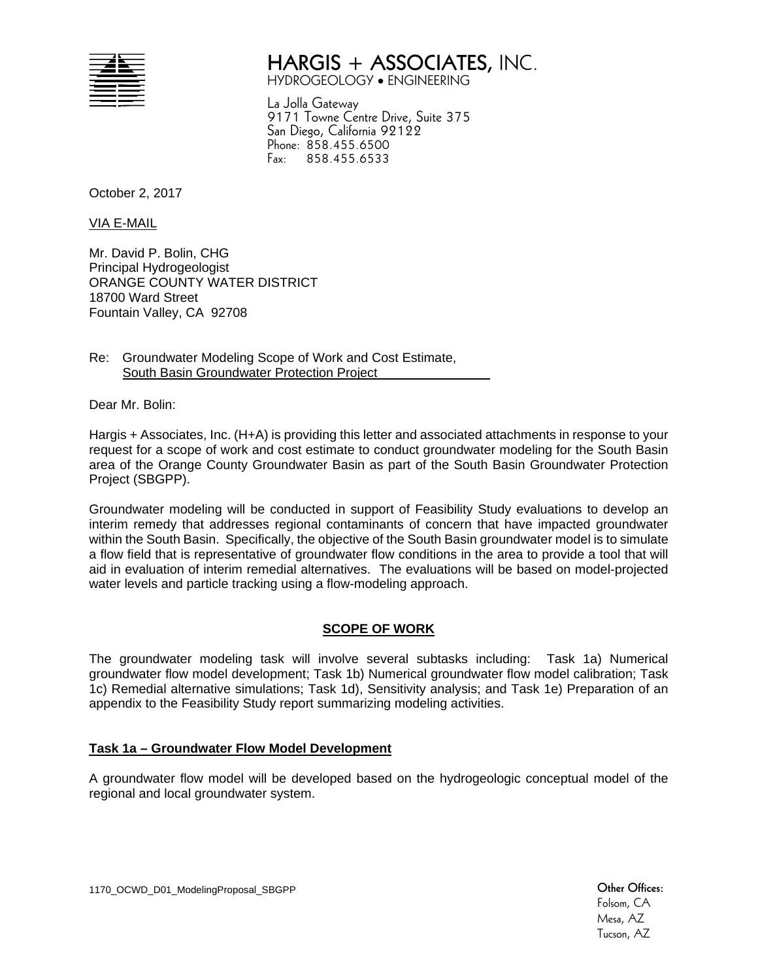| ⊣►<br>--<br>--<br>__ | ۰ |
|----------------------|---|
| ________             |   |
| ____                 |   |
| ______               |   |
| _____<br>_           |   |
|                      | z |
|                      |   |

# **HARGIS + ASSOCIATES,** INC.

HYDROGEOLOGY ENGINEERING

La Jolla Gateway 9171 Towne Centre Drive, Suite 375 San Diego, California 92122 Phone: 858.455.6500 Fax: 858.455.6533

October 2, 2017

VIA E-MAIL

Mr. David P. Bolin, CHG Principal Hydrogeologist ORANGE COUNTY WATER DISTRICT 18700 Ward Street Fountain Valley, CA 92708

Re: Groundwater Modeling Scope of Work and Cost Estimate, South Basin Groundwater Protection Project

Dear Mr. Bolin:

Hargis + Associates, Inc. (H+A) is providing this letter and associated attachments in response to your request for a scope of work and cost estimate to conduct groundwater modeling for the South Basin area of the Orange County Groundwater Basin as part of the South Basin Groundwater Protection Project (SBGPP).

Groundwater modeling will be conducted in support of Feasibility Study evaluations to develop an interim remedy that addresses regional contaminants of concern that have impacted groundwater within the South Basin. Specifically, the objective of the South Basin groundwater model is to simulate a flow field that is representative of groundwater flow conditions in the area to provide a tool that will aid in evaluation of interim remedial alternatives. The evaluations will be based on model-projected water levels and particle tracking using a flow-modeling approach.

# **SCOPE OF WORK**

The groundwater modeling task will involve several subtasks including: Task 1a) Numerical groundwater flow model development; Task 1b) Numerical groundwater flow model calibration; Task 1c) Remedial alternative simulations; Task 1d), Sensitivity analysis; and Task 1e) Preparation of an appendix to the Feasibility Study report summarizing modeling activities.

# **Task 1a – Groundwater Flow Model Development**

A groundwater flow model will be developed based on the hydrogeologic conceptual model of the regional and local groundwater system.

1170\_OCWD\_D01\_ModelingProposal\_SBGPP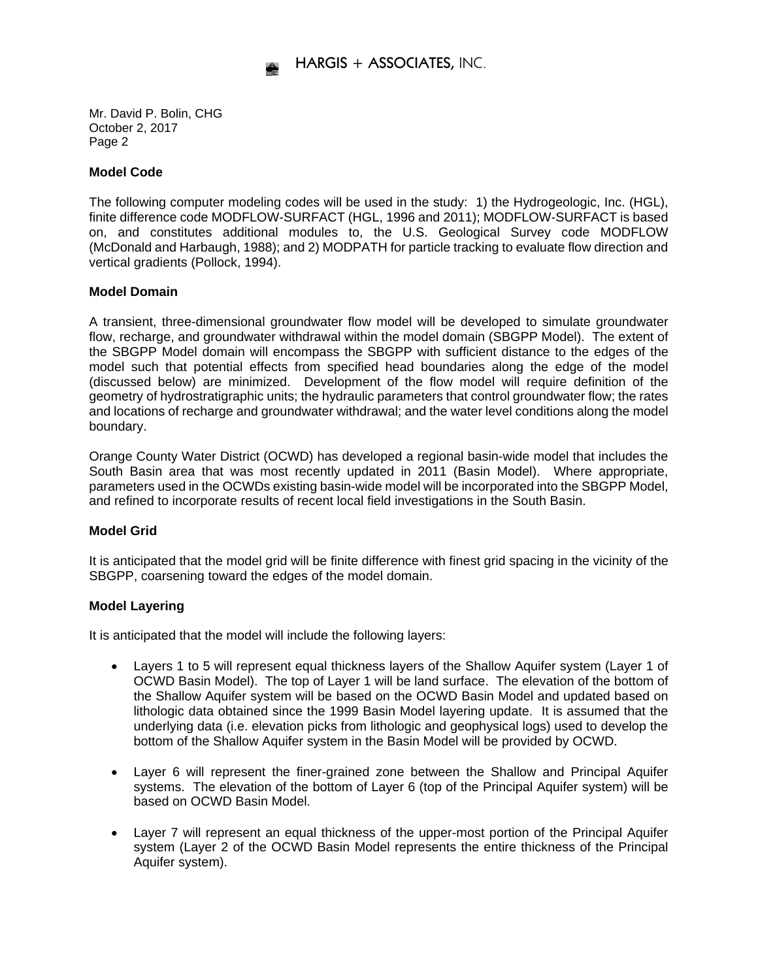# **Model Code**

The following computer modeling codes will be used in the study: 1) the Hydrogeologic, Inc. (HGL), finite difference code MODFLOW-SURFACT (HGL, 1996 and 2011); MODFLOW-SURFACT is based on, and constitutes additional modules to, the U.S. Geological Survey code MODFLOW (McDonald and Harbaugh, 1988); and 2) MODPATH for particle tracking to evaluate flow direction and vertical gradients (Pollock, 1994).

### **Model Domain**

A transient, three-dimensional groundwater flow model will be developed to simulate groundwater flow, recharge, and groundwater withdrawal within the model domain (SBGPP Model). The extent of the SBGPP Model domain will encompass the SBGPP with sufficient distance to the edges of the model such that potential effects from specified head boundaries along the edge of the model (discussed below) are minimized. Development of the flow model will require definition of the geometry of hydrostratigraphic units; the hydraulic parameters that control groundwater flow; the rates and locations of recharge and groundwater withdrawal; and the water level conditions along the model boundary.

Orange County Water District (OCWD) has developed a regional basin-wide model that includes the South Basin area that was most recently updated in 2011 (Basin Model). Where appropriate, parameters used in the OCWDs existing basin-wide model will be incorporated into the SBGPP Model, and refined to incorporate results of recent local field investigations in the South Basin.

# **Model Grid**

It is anticipated that the model grid will be finite difference with finest grid spacing in the vicinity of the SBGPP, coarsening toward the edges of the model domain.

# **Model Layering**

It is anticipated that the model will include the following layers:

- Layers 1 to 5 will represent equal thickness layers of the Shallow Aquifer system (Layer 1 of OCWD Basin Model). The top of Layer 1 will be land surface. The elevation of the bottom of the Shallow Aquifer system will be based on the OCWD Basin Model and updated based on lithologic data obtained since the 1999 Basin Model layering update. It is assumed that the underlying data (i.e. elevation picks from lithologic and geophysical logs) used to develop the bottom of the Shallow Aquifer system in the Basin Model will be provided by OCWD.
- Layer 6 will represent the finer-grained zone between the Shallow and Principal Aquifer systems. The elevation of the bottom of Layer 6 (top of the Principal Aquifer system) will be based on OCWD Basin Model.
- Layer 7 will represent an equal thickness of the upper-most portion of the Principal Aquifer system (Layer 2 of the OCWD Basin Model represents the entire thickness of the Principal Aquifer system).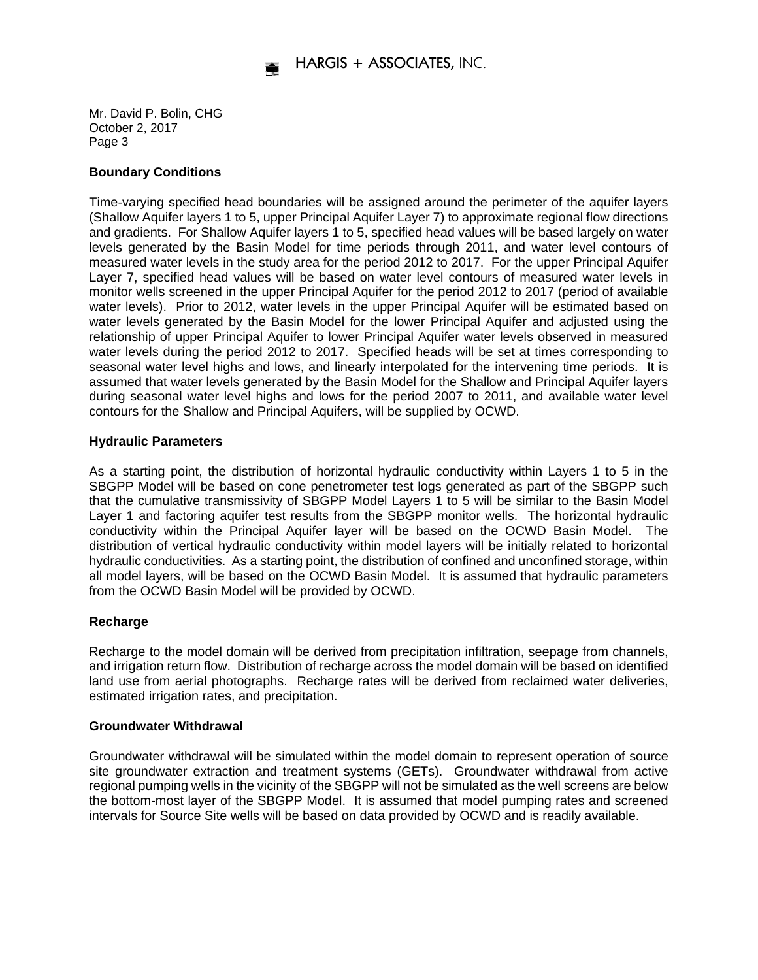### **Boundary Conditions**

Time-varying specified head boundaries will be assigned around the perimeter of the aquifer layers (Shallow Aquifer layers 1 to 5, upper Principal Aquifer Layer 7) to approximate regional flow directions and gradients. For Shallow Aquifer layers 1 to 5, specified head values will be based largely on water levels generated by the Basin Model for time periods through 2011, and water level contours of measured water levels in the study area for the period 2012 to 2017. For the upper Principal Aquifer Layer 7, specified head values will be based on water level contours of measured water levels in monitor wells screened in the upper Principal Aquifer for the period 2012 to 2017 (period of available water levels). Prior to 2012, water levels in the upper Principal Aquifer will be estimated based on water levels generated by the Basin Model for the lower Principal Aquifer and adjusted using the relationship of upper Principal Aquifer to lower Principal Aquifer water levels observed in measured water levels during the period 2012 to 2017. Specified heads will be set at times corresponding to seasonal water level highs and lows, and linearly interpolated for the intervening time periods. It is assumed that water levels generated by the Basin Model for the Shallow and Principal Aquifer layers during seasonal water level highs and lows for the period 2007 to 2011, and available water level contours for the Shallow and Principal Aquifers, will be supplied by OCWD.

### **Hydraulic Parameters**

As a starting point, the distribution of horizontal hydraulic conductivity within Layers 1 to 5 in the SBGPP Model will be based on cone penetrometer test logs generated as part of the SBGPP such that the cumulative transmissivity of SBGPP Model Layers 1 to 5 will be similar to the Basin Model Layer 1 and factoring aquifer test results from the SBGPP monitor wells. The horizontal hydraulic conductivity within the Principal Aquifer layer will be based on the OCWD Basin Model. The distribution of vertical hydraulic conductivity within model layers will be initially related to horizontal hydraulic conductivities. As a starting point, the distribution of confined and unconfined storage, within all model layers, will be based on the OCWD Basin Model. It is assumed that hydraulic parameters from the OCWD Basin Model will be provided by OCWD.

# **Recharge**

Recharge to the model domain will be derived from precipitation infiltration, seepage from channels, and irrigation return flow. Distribution of recharge across the model domain will be based on identified land use from aerial photographs. Recharge rates will be derived from reclaimed water deliveries, estimated irrigation rates, and precipitation.

### **Groundwater Withdrawal**

Groundwater withdrawal will be simulated within the model domain to represent operation of source site groundwater extraction and treatment systems (GETs). Groundwater withdrawal from active regional pumping wells in the vicinity of the SBGPP will not be simulated as the well screens are below the bottom-most layer of the SBGPP Model. It is assumed that model pumping rates and screened intervals for Source Site wells will be based on data provided by OCWD and is readily available.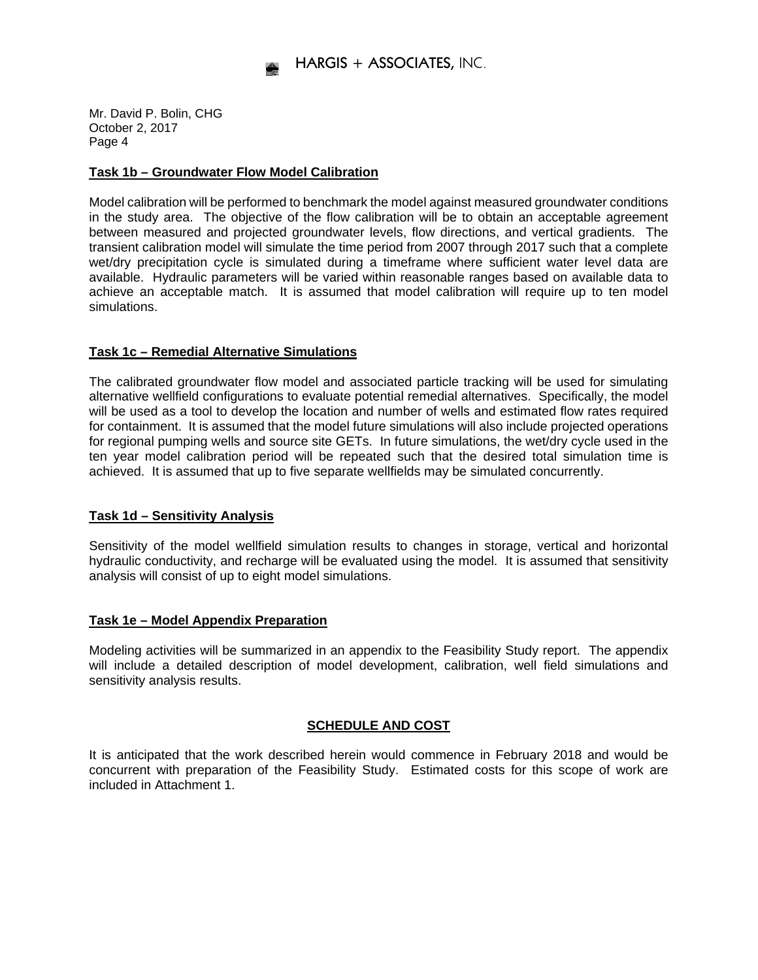# **Task 1b – Groundwater Flow Model Calibration**

Model calibration will be performed to benchmark the model against measured groundwater conditions in the study area. The objective of the flow calibration will be to obtain an acceptable agreement between measured and projected groundwater levels, flow directions, and vertical gradients. The transient calibration model will simulate the time period from 2007 through 2017 such that a complete wet/dry precipitation cycle is simulated during a timeframe where sufficient water level data are available. Hydraulic parameters will be varied within reasonable ranges based on available data to achieve an acceptable match. It is assumed that model calibration will require up to ten model simulations.

# **Task 1c – Remedial Alternative Simulations**

The calibrated groundwater flow model and associated particle tracking will be used for simulating alternative wellfield configurations to evaluate potential remedial alternatives. Specifically, the model will be used as a tool to develop the location and number of wells and estimated flow rates required for containment. It is assumed that the model future simulations will also include projected operations for regional pumping wells and source site GETs. In future simulations, the wet/dry cycle used in the ten year model calibration period will be repeated such that the desired total simulation time is achieved. It is assumed that up to five separate wellfields may be simulated concurrently.

# **Task 1d – Sensitivity Analysis**

Sensitivity of the model wellfield simulation results to changes in storage, vertical and horizontal hydraulic conductivity, and recharge will be evaluated using the model. It is assumed that sensitivity analysis will consist of up to eight model simulations.

### **Task 1e – Model Appendix Preparation**

Modeling activities will be summarized in an appendix to the Feasibility Study report. The appendix will include a detailed description of model development, calibration, well field simulations and sensitivity analysis results.

# **SCHEDULE AND COST**

It is anticipated that the work described herein would commence in February 2018 and would be concurrent with preparation of the Feasibility Study. Estimated costs for this scope of work are included in Attachment 1.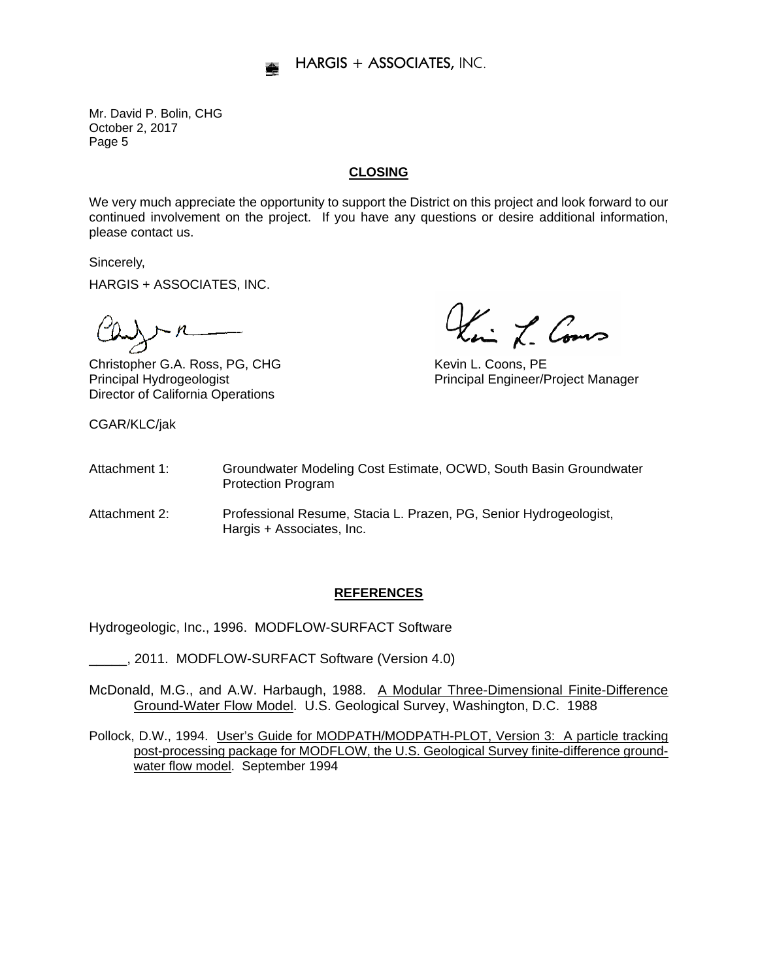# **CLOSING**

We very much appreciate the opportunity to support the District on this project and look forward to our continued involvement on the project. If you have any questions or desire additional information, please contact us.

Sincerely,

HARGIS + ASSOCIATES, INC.

Director of California Operations

CGAR/KLC/jak

 $C\lambda$ <br>Christopher G.A. Ross, PG, CHG Kevin L. Coons, PE

Principal Hydrogeologist Principal Engineer/Project Manager

- Attachment 1: Groundwater Modeling Cost Estimate, OCWD, South Basin Groundwater Protection Program
- Attachment 2: Professional Resume, Stacia L. Prazen, PG, Senior Hydrogeologist, Hargis + Associates, Inc.

### **REFERENCES**

Hydrogeologic, Inc., 1996. MODFLOW-SURFACT Software

\_\_\_\_\_, 2011. MODFLOW-SURFACT Software (Version 4.0)

- McDonald, M.G., and A.W. Harbaugh, 1988. A Modular Three-Dimensional Finite-Difference Ground-Water Flow Model. U.S. Geological Survey, Washington, D.C. 1988
- Pollock, D.W., 1994. User's Guide for MODPATH/MODPATH-PLOT, Version 3: A particle tracking post-processing package for MODFLOW, the U.S. Geological Survey finite-difference groundwater flow model. September 1994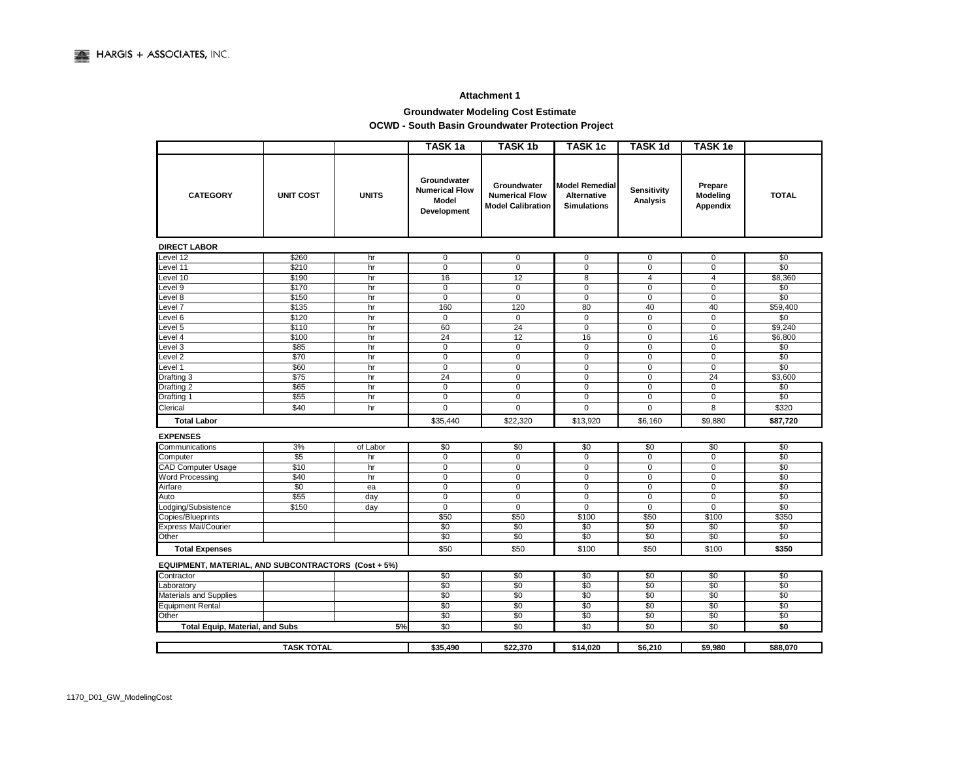#### **Attachment 1**

# **Groundwater Modeling Cost Estimate**

#### **OCWD - South Basin Groundwater Protection Project**

|                                                            |                   |              | TASK <sub>1a</sub>                                                  | <b>TASK 1b</b>                                                   | <b>TASK1c</b>                                                     | <b>TASK1d</b>           | <b>TASK1e</b>                   |              |
|------------------------------------------------------------|-------------------|--------------|---------------------------------------------------------------------|------------------------------------------------------------------|-------------------------------------------------------------------|-------------------------|---------------------------------|--------------|
| <b>CATEGORY</b>                                            | <b>UNIT COST</b>  | <b>UNITS</b> | Groundwater<br><b>Numerical Flow</b><br><b>Model</b><br>Development | Groundwater<br><b>Numerical Flow</b><br><b>Model Calibration</b> | <b>Model Remedial</b><br><b>Alternative</b><br><b>Simulations</b> | Sensitivity<br>Analysis | Prepare<br>Modeling<br>Appendix | <b>TOTAL</b> |
| <b>DIRECT LABOR</b>                                        |                   |              |                                                                     |                                                                  |                                                                   |                         |                                 |              |
| Level 12                                                   | \$260             | hr           | 0                                                                   | 0                                                                | 0                                                                 | 0                       | 0                               | \$0          |
| Level 11                                                   | \$210             | hr           | $\mathbf 0$                                                         | $\mathbf 0$                                                      | $\mathbf 0$                                                       | $\mathbf 0$             | $\mathsf 0$                     | \$0          |
| evel 10                                                    | \$190             | hr           | 16                                                                  | 12                                                               | 8                                                                 | $\overline{4}$          | $\overline{4}$                  | \$8,360      |
| Level 9                                                    | \$170             | hr           | 0                                                                   | 0                                                                | $\pmb{0}$                                                         | $\mathbf 0$             | $\mathsf 0$                     | \$0          |
| evel 8                                                     | \$150             | hr           | $\mathbf 0$                                                         | $\mathbf 0$                                                      | $\mathbf 0$                                                       | 0                       | $\mathbf 0$                     | \$0          |
| Level 7                                                    | \$135             | hr           | 160                                                                 | 120                                                              | 80                                                                | 40                      | 40                              | \$59,400     |
| Level 6                                                    | \$120             | hr           | $\mathbf 0$                                                         | $\mathbf 0$                                                      | $\mathbf 0$                                                       | $\Omega$                | $\mathbf 0$                     | \$0          |
| Level 5                                                    | \$110             | hr           | 60                                                                  | 24                                                               | 0                                                                 | 0                       | $\overline{0}$                  | \$9,240      |
| evel 4                                                     | \$100             | hr           | 24                                                                  | 12                                                               | 16                                                                | $\mathbf 0$             | 16                              | \$6,800      |
| Level 3                                                    | \$85              | hr           | $\mathbf 0$                                                         | 0                                                                | 0                                                                 | 0                       | $\mathbf 0$                     | \$0          |
| evel <sub>2</sub>                                          | \$70              | hr           | 0                                                                   | $\mathbf 0$                                                      | $\pmb{0}$                                                         | $\mathbf 0$             | $\mathbf 0$                     | \$0          |
| Level 1                                                    | \$60              | hr           | $\mathbf 0$                                                         | $\mathbf 0$                                                      | 0                                                                 | $\mathbf 0$             | $\mathbf 0$                     | \$0          |
| Drafting 3                                                 | $\overline{$75}$  | hr           | 24                                                                  | $\pmb{0}$                                                        | 0                                                                 | $\mathbf 0$             | 24                              | \$3,600      |
| Drafting 2                                                 | \$65              | hr           | $\mathbf 0$                                                         | $\mathbf 0$                                                      | 0                                                                 | $\Omega$                | $\mathbf 0$                     | \$0          |
| Drafting 1                                                 | \$55              | hr           | 0                                                                   | 0                                                                | 0                                                                 | 0                       | $\mathsf 0$                     | \$0          |
| Clerical                                                   | \$40              | hr           | $\mathbf 0$                                                         | $\mathbf 0$                                                      | 0                                                                 | $\mathbf 0$             | 8                               | \$320        |
| <b>Total Labor</b>                                         |                   |              | \$35,440                                                            | \$22,320                                                         | \$13,920                                                          | \$6,160                 | \$9,880                         | \$87,720     |
| <b>EXPENSES</b>                                            |                   |              |                                                                     |                                                                  |                                                                   |                         |                                 |              |
| Communications                                             | 3%                | of Labor     | \$0                                                                 | \$0                                                              | \$0                                                               | \$0                     | \$0                             | \$0          |
| Computer                                                   | \$5               | hr           | $\mathbf 0$                                                         | 0                                                                | 0                                                                 | 0                       | $\mathbf 0$                     | \$0          |
| <b>CAD Computer Usage</b>                                  | \$10              | hr           | $\overline{0}$                                                      | $\overline{0}$                                                   | 0                                                                 | $\overline{0}$          | $\overline{0}$                  | \$0          |
| Word Processing                                            | \$40              | hr           | 0                                                                   | $\mathbf 0$                                                      | $\mathbf 0$                                                       | $\mathbf 0$             | $\mathsf 0$                     | \$0          |
| Airfare                                                    | \$0               | ea           | $\mathbf 0$                                                         | $\overline{0}$                                                   | 0                                                                 | $\overline{0}$          | $\overline{0}$                  | \$0          |
| Auto                                                       | \$55              | day          | $\mathbf 0$                                                         | $\mathbf 0$                                                      | 0                                                                 | $\mathbf 0$             | $\mathsf 0$                     | \$0          |
| Lodging/Subsistence                                        | \$150             | day          | $\overline{0}$                                                      | $\overline{0}$                                                   | $\overline{0}$                                                    | $\overline{0}$          | $\overline{0}$                  | \$0          |
| Copies/Blueprints                                          |                   |              | \$50                                                                | \$50                                                             | \$100                                                             | \$50                    | \$100                           | \$350        |
| <b>Express Mail/Courier</b>                                |                   |              | \$0                                                                 | \$0                                                              | \$0                                                               | \$0                     | \$0                             | \$0          |
| Other                                                      |                   |              | \$0                                                                 | \$0                                                              | \$0                                                               | \$0                     | \$0                             | \$0          |
| <b>Total Expenses</b>                                      |                   |              | \$50                                                                | \$50                                                             | \$100                                                             | \$50                    | \$100                           | \$350        |
| <b>EQUIPMENT, MATERIAL, AND SUBCONTRACTORS (Cost + 5%)</b> |                   |              |                                                                     |                                                                  |                                                                   |                         |                                 |              |
| Contractor                                                 |                   |              | \$0                                                                 | \$0                                                              | \$0                                                               | \$0                     | \$0                             | \$0          |
| Laboratory                                                 |                   |              | \$0                                                                 | \$0                                                              | \$0                                                               | \$0                     | \$0                             | \$0          |
| Materials and Supplies                                     |                   |              | \$0                                                                 | \$0                                                              | \$0                                                               | \$0                     | \$0                             | \$0          |
| <b>Equipment Rental</b>                                    |                   |              | \$0                                                                 | \$0                                                              | \$0                                                               | \$0                     | \$0                             | \$0          |
| Other                                                      |                   | 5%           | \$0                                                                 | \$0                                                              | \$0                                                               | \$0                     | \$0                             | \$0          |
| <b>Total Equip, Material, and Subs</b>                     | \$0               | \$0          | \$0                                                                 | \$0                                                              | \$0                                                               | \$0                     |                                 |              |
|                                                            | <b>TASK TOTAL</b> |              |                                                                     |                                                                  |                                                                   |                         |                                 |              |
|                                                            |                   |              | \$35,490                                                            | \$22,370                                                         | \$14,020                                                          | \$6,210                 | \$9,980                         | \$88,070     |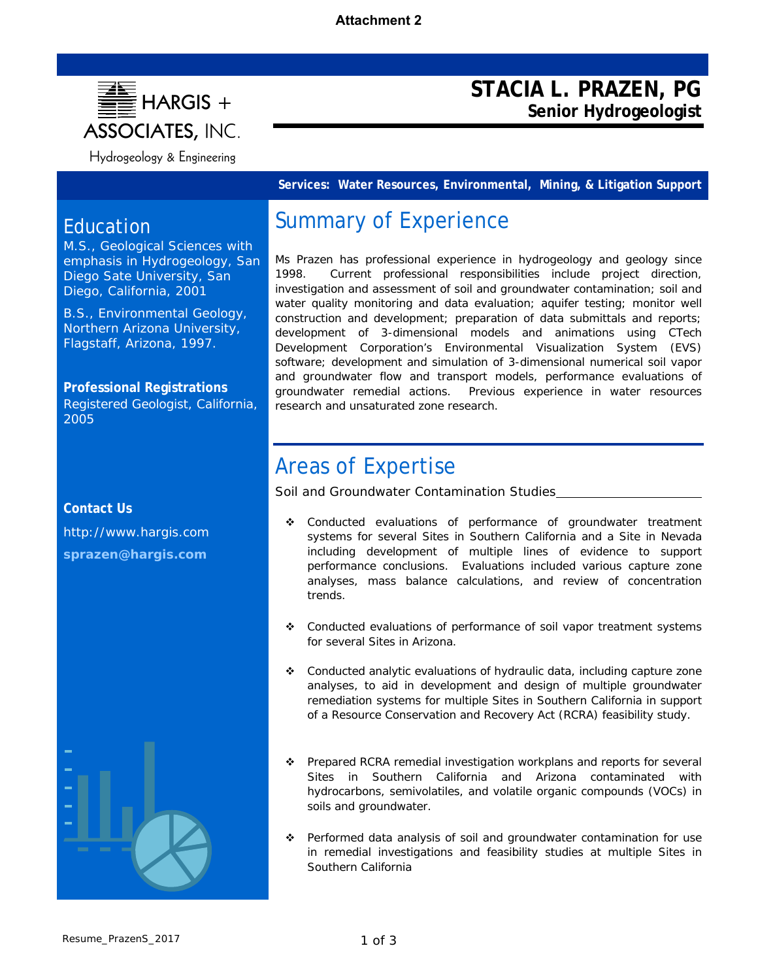

# **STACIA L. PRAZEN, PG Senior Hydrogeologist**

**Services: Water Resources, Environmental, Mining, & Litigation Support** 

# Education

M.S., Geological Sciences with emphasis in Hydrogeology, San Diego Sate University, San Diego, California, 2001

B.S., Environmental Geology, Northern Arizona University, Flagstaff, Arizona, 1997.

**Professional Registrations**  Registered Geologist, California, 2005

# **Contact Us**

http://www.hargis.com **sprazen@hargis.com**

# Summary of Experience

Ms Prazen has professional experience in hydrogeology and geology since 1998. Current professional responsibilities include project direction, investigation and assessment of soil and groundwater contamination; soil and water quality monitoring and data evaluation; aquifer testing; monitor well construction and development; preparation of data submittals and reports; development of 3-dimensional models and animations using CTech Development Corporation's Environmental Visualization System (EVS) software; development and simulation of 3-dimensional numerical soil vapor and groundwater flow and transport models, performance evaluations of groundwater remedial actions. Previous experience in water resources research and unsaturated zone research.

# Areas of Expertise

*Soil and Groundwater Contamination Studies* 

- Conducted evaluations of performance of groundwater treatment systems for several Sites in Southern California and a Site in Nevada including development of multiple lines of evidence to support performance conclusions. Evaluations included various capture zone analyses, mass balance calculations, and review of concentration trends.
- Conducted evaluations of performance of soil vapor treatment systems for several Sites in Arizona.
- Conducted analytic evaluations of hydraulic data, including capture zone analyses, to aid in development and design of multiple groundwater remediation systems for multiple Sites in Southern California in support of a Resource Conservation and Recovery Act (RCRA) feasibility study.
- \* Prepared RCRA remedial investigation workplans and reports for several Sites in Southern California and Arizona contaminated with hydrocarbons, semivolatiles, and volatile organic compounds (VOCs) in soils and groundwater.
- \* Performed data analysis of soil and groundwater contamination for use in remedial investigations and feasibility studies at multiple Sites in Southern California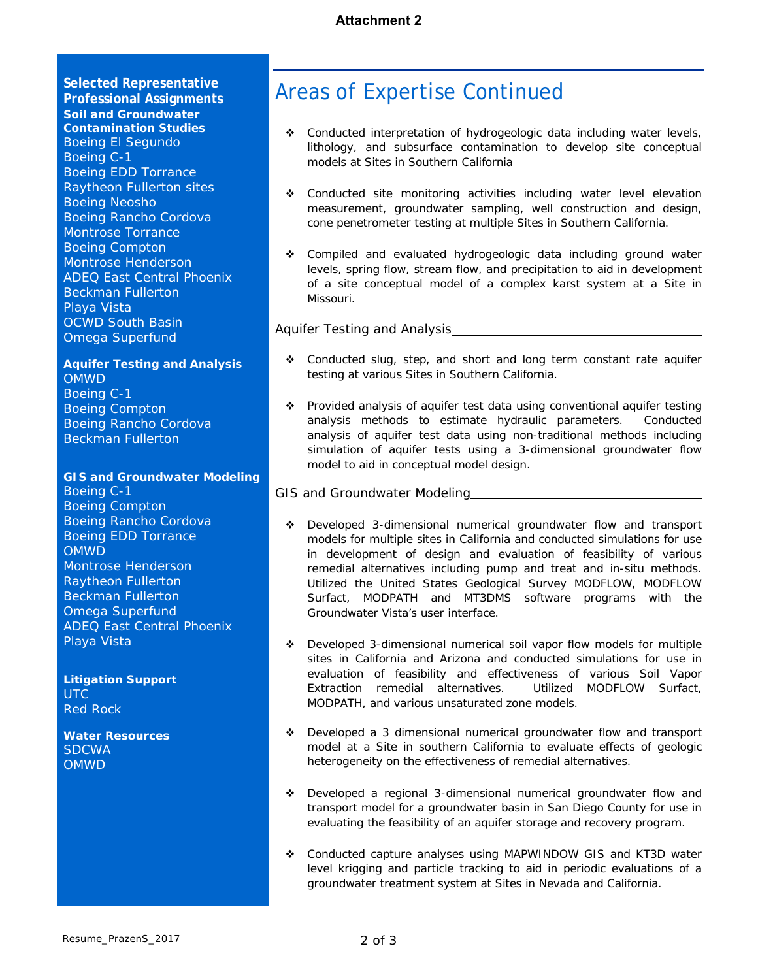**Selected Representative Professional Assignments**  *Soil and Groundwater Contamination Studies*  Boeing El Segundo Boeing C-1 Boeing EDD Torrance Raytheon Fullerton sites Boeing Neosho Boeing Rancho Cordova Montrose Torrance Boeing Compton Montrose Henderson ADEQ East Central Phoenix Beckman Fullerton Playa Vista OCWD South Basin Omega Superfund

*Aquifer Testing and Analysis*  OMWD Boeing C-1 Boeing Compton Boeing Rancho Cordova Beckman Fullerton

#### *GIS and Groundwater Modeling*

Boeing C-1 Boeing Compton Boeing Rancho Cordova Boeing EDD Torrance **OMWD** Montrose Henderson Raytheon Fullerton Beckman Fullerton Omega Superfund ADEQ East Central Phoenix Playa Vista

*Litigation Support*  **UTC** Red Rock

*Water Resources*  **SDCWA** OMWD

# Areas of Expertise Continued

- Conducted interpretation of hydrogeologic data including water levels, lithology, and subsurface contamination to develop site conceptual models at Sites in Southern California
- Conducted site monitoring activities including water level elevation measurement, groundwater sampling, well construction and design, cone penetrometer testing at multiple Sites in Southern California.
- Compiled and evaluated hydrogeologic data including ground water levels, spring flow, stream flow, and precipitation to aid in development of a site conceptual model of a complex karst system at a Site in Missouri.

### *Aquifer Testing and Analysis*

- \* Conducted slug, step, and short and long term constant rate aquifer testing at various Sites in Southern California.
- \* Provided analysis of aquifer test data using conventional aquifer testing analysis methods to estimate hydraulic parameters. Conducted analysis of aquifer test data using non-traditional methods including simulation of aquifer tests using a 3-dimensional groundwater flow model to aid in conceptual model design.

#### *GIS and Groundwater Modeling*

- Developed 3-dimensional numerical groundwater flow and transport models for multiple sites in California and conducted simulations for use in development of design and evaluation of feasibility of various remedial alternatives including pump and treat and in-situ methods. Utilized the United States Geological Survey MODFLOW, MODFLOW Surfact, MODPATH and MT3DMS software programs with the Groundwater Vista's user interface.
- Developed 3-dimensional numerical soil vapor flow models for multiple sites in California and Arizona and conducted simulations for use in evaluation of feasibility and effectiveness of various Soil Vapor Extraction remedial alternatives. Utilized MODFLOW Surfact, MODPATH, and various unsaturated zone models.
- Developed a 3 dimensional numerical groundwater flow and transport model at a Site in southern California to evaluate effects of geologic heterogeneity on the effectiveness of remedial alternatives.
- Developed a regional 3-dimensional numerical groundwater flow and transport model for a groundwater basin in San Diego County for use in evaluating the feasibility of an aquifer storage and recovery program.
- Conducted capture analyses using MAPWINDOW GIS and KT3D water level krigging and particle tracking to aid in periodic evaluations of a groundwater treatment system at Sites in Nevada and California.